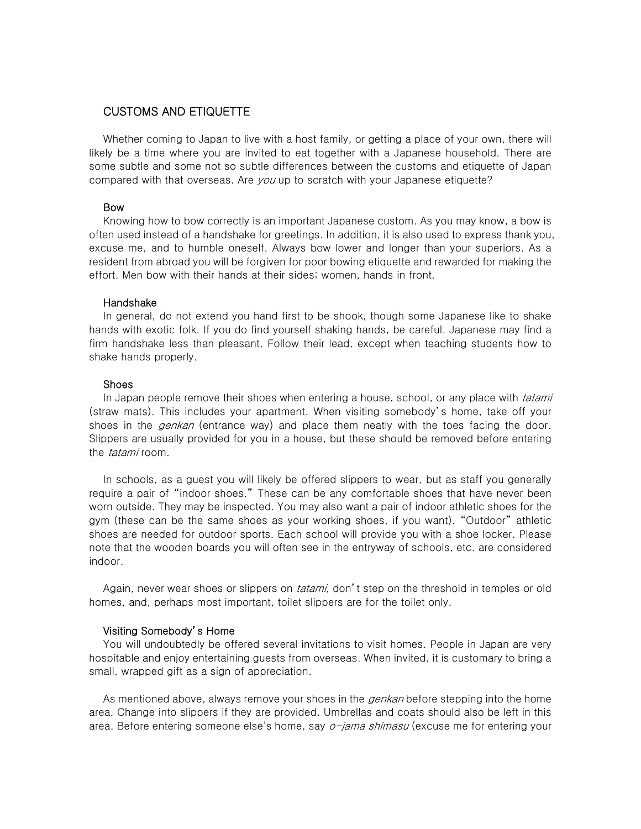# CUSTOMS AND ETIQUETTE

Whether coming to Japan to live with a host family, or getting a place of your own, there will likely be a time where you are invited to eat together with a Japanese household. There are some subtle and some not so subtle differences between the customs and etiquette of Japan compared with that overseas. Are you up to scratch with your Japanese etiquette?

#### Bow

Knowing how to bow correctly is an important Japanese custom. As you may know, a bow is often used instead of a handshake for greetings. In addition, it is also used to express thank you, excuse me, and to humble oneself. Always bow lower and longer than your superiors. As a resident from abroad you will be forgiven for poor bowing etiquette and rewarded for making the effort. Men bow with their hands at their sides; women, hands in front.

### Handshake

In general, do not extend you hand first to be shook, though some Japanese like to shake hands with exotic folk. If you do find yourself shaking hands, be careful. Japanese may find a firm handshake less than pleasant. Follow their lead, except when teaching students how to shake hands properly.

### Shoes

In Japan people remove their shoes when entering a house, school, or any place with *tatami* (straw mats). This includes your apartment. When visiting somebody's home, take off your shoes in the *genkan* (entrance way) and place them neatly with the toes facing the door. Slippers are usually provided for you in a house, but these should be removed before entering the *tatami* room.

In schools, as a guest you will likely be offered slippers to wear, but as staff you generally require a pair of "indoor shoes." These can be any comfortable shoes that have never been worn outside. They may be inspected. You may also want a pair of indoor athletic shoes for the gym (these can be the same shoes as your working shoes, if you want). "Outdoor" athletic shoes are needed for outdoor sports. Each school will provide you with a shoe locker. Please note that the wooden boards you will often see in the entryway of schools, etc. are considered indoor.

Again, never wear shoes or slippers on *tatami*, don't step on the threshold in temples or old homes, and, perhaps most important, toilet slippers are for the toilet only.

## Visiting Somebody's Home

You will undoubtedly be offered several invitations to visit homes. People in Japan are very hospitable and enjoy entertaining guests from overseas. When invited, it is customary to bring a small, wrapped gift as a sign of appreciation.

As mentioned above, always remove your shoes in the *genkan* before stepping into the home area. Change into slippers if they are provided. Umbrellas and coats should also be left in this area. Before entering someone else's home, say *o-jama shimasu* (excuse me for entering your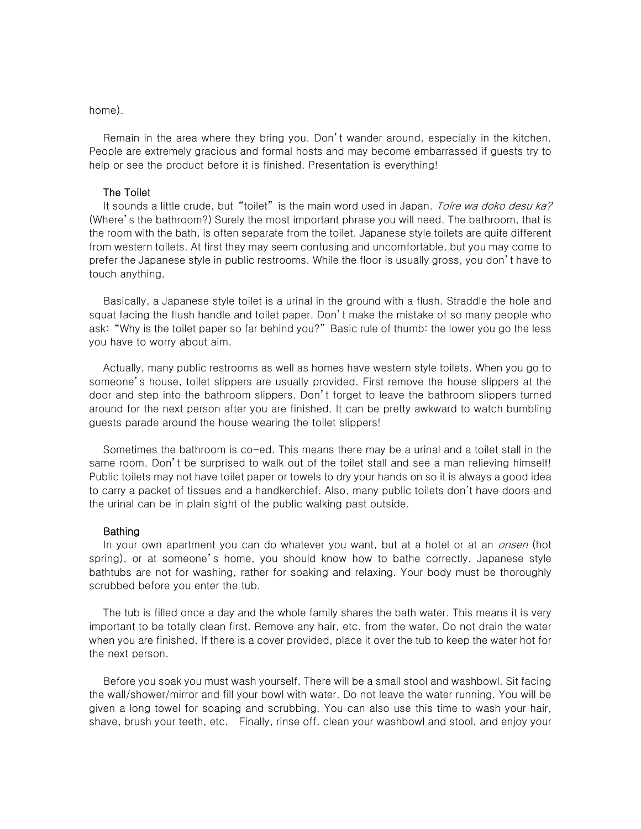home).

Remain in the area where they bring you. Don't wander around, especially in the kitchen. People are extremely gracious and formal hosts and may become embarrassed if guests try to help or see the product before it is finished. Presentation is everything!

### The Toilet

It sounds a little crude, but "toilet" is the main word used in Japan. Toire wa doko desu ka? (Where's the bathroom?) Surely the most important phrase you will need. The bathroom, that is the room with the bath, is often separate from the toilet. Japanese style toilets are quite different from western toilets. At first they may seem confusing and uncomfortable, but you may come to prefer the Japanese style in public restrooms. While the floor is usually gross, you don't have to touch anything.

Basically, a Japanese style toilet is a urinal in the ground with a flush. Straddle the hole and squat facing the flush handle and toilet paper. Don't make the mistake of so many people who ask: "Why is the toilet paper so far behind you?" Basic rule of thumb: the lower you go the less you have to worry about aim.

Actually, many public restrooms as well as homes have western style toilets. When you go to someone's house, toilet slippers are usually provided. First remove the house slippers at the door and step into the bathroom slippers. Don't forget to leave the bathroom slippers turned around for the next person after you are finished. It can be pretty awkward to watch bumbling guests parade around the house wearing the toilet slippers!

Sometimes the bathroom is co-ed. This means there may be a urinal and a toilet stall in the same room. Don't be surprised to walk out of the toilet stall and see a man relieving himself! Public toilets may not have toilet paper or towels to dry your hands on so it is always a good idea to carry a packet of tissues and a handkerchief. Also, many public toilets don't have doors and the urinal can be in plain sight of the public walking past outside.

### Bathing

In your own apartment you can do whatever you want, but at a hotel or at an *onsen* (hot spring), or at someone's home, you should know how to bathe correctly. Japanese style bathtubs are not for washing, rather for soaking and relaxing. Your body must be thoroughly scrubbed before you enter the tub.

The tub is filled once a day and the whole family shares the bath water. This means it is very important to be totally clean first. Remove any hair, etc. from the water. Do not drain the water when you are finished. If there is a cover provided, place it over the tub to keep the water hot for the next person.

Before you soak you must wash yourself. There will be a small stool and washbowl. Sit facing the wall/shower/mirror and fill your bowl with water. Do not leave the water running. You will be given a long towel for soaping and scrubbing. You can also use this time to wash your hair, shave, brush your teeth, etc. Finally, rinse off, clean your washbowl and stool, and enjoy your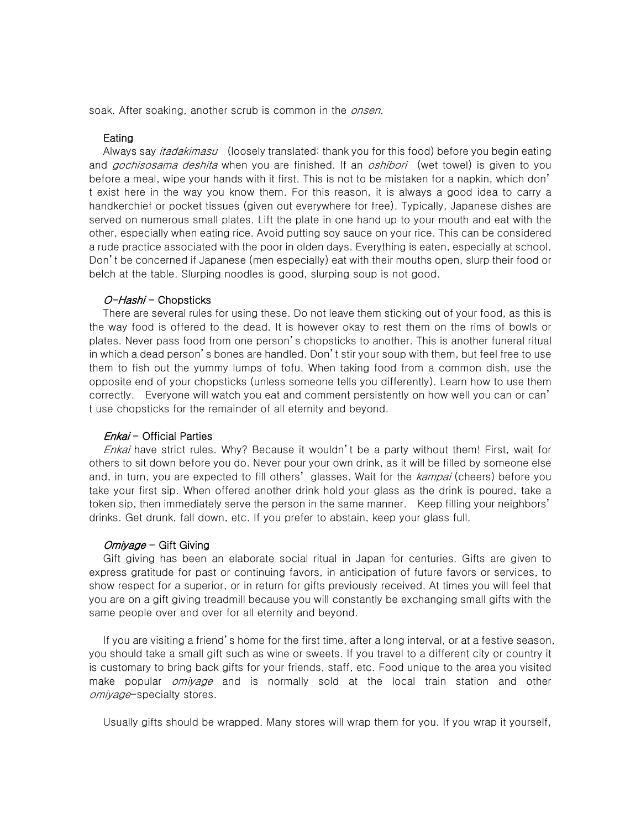soak. After soaking, another scrub is common in the *onsen*.

#### Eating

Always say *itadakimasu* (loosely translated: thank you for this food) before you begin eating and *gochisosama deshita* when you are finished. If an *oshibori* (wet towel) is given to you before a meal, wipe your hands with it first. This is not to be mistaken for a napkin, which don' t exist here in the way you know them. For this reason, it is always a good idea to carry a handkerchief or pocket tissues (given out everywhere for free). Typically, Japanese dishes are served on numerous small plates. Lift the plate in one hand up to your mouth and eat with the other, especially when eating rice. Avoid putting soy sauce on your rice. This can be considered a rude practice associated with the poor in olden days. Everything is eaten, especially at school. Don't be concerned if Japanese (men especially) eat with their mouths open, slurp their food or belch at the table. Slurping noodles is good, slurping soup is not good.

## O-Hashi - Chopsticks

There are several rules for using these. Do not leave them sticking out of your food, as this is the way food is offered to the dead. It is however okay to rest them on the rims of bowls or plates. Never pass food from one person's chopsticks to another. This is another funeral ritual in which a dead person's bones are handled. Don't stir your soup with them, but feel free to use them to fish out the yummy lumps of tofu. When taking food from a common dish, use the opposite end of your chopsticks (unless someone tells you differently). Learn how to use them correctly. Everyone will watch you eat and comment persistently on how well you can or can' t use chopsticks for the remainder of all eternity and beyond.

#### $Enkai$  - Official Parties

Enkai have strict rules. Why? Because it wouldn't be a party without them! First, wait for others to sit down before you do. Never pour your own drink, as it will be filled by someone else and, in turn, you are expected to fill others' glasses. Wait for the kampai (cheers) before you take your first sip. When offered another drink hold your glass as the drink is poured, take a token sip, then immediately serve the person in the same manner. Keep filling your neighbors' drinks. Get drunk, fall down, etc. If you prefer to abstain, keep your glass full.

#### $Omi\gamma$ age – Gift Giving

Gift giving has been an elaborate social ritual in Japan for centuries. Gifts are given to express gratitude for past or continuing favors, in anticipation of future favors or services, to show respect for a superior, or in return for gifts previously received. At times you will feel that you are on a gift giving treadmill because you will constantly be exchanging small gifts with the same people over and over for all eternity and beyond.

If you are visiting a friend's home for the first time, after a long interval, or at a festive season, you should take a small gift such as wine or sweets. If you travel to a different city or country it is customary to bring back gifts for your friends, staff, etc. Food unique to the area you visited make popular *omiyage* and is normally sold at the local train station and other omiyage-specialty stores.

Usually gifts should be wrapped. Many stores will wrap them for you. If you wrap it yourself,